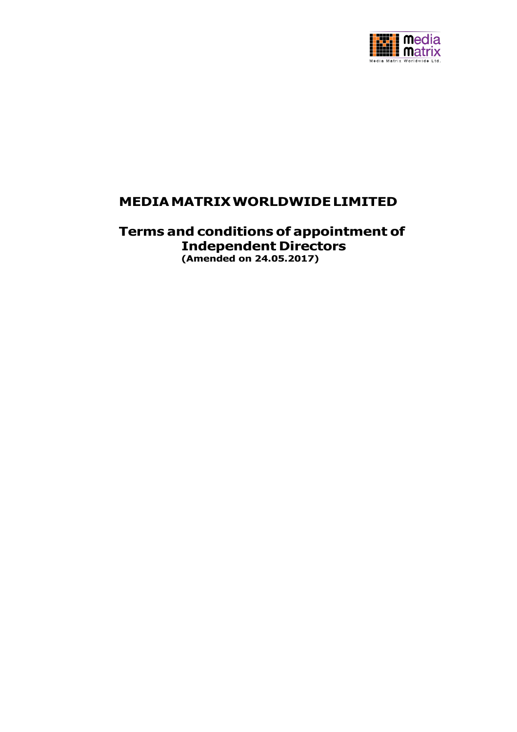

# **MEDIAMATRIXWORLDWIDELIMITED**

**Terms and conditions of appointment of Independent Directors (Amended on 24.05.2017)**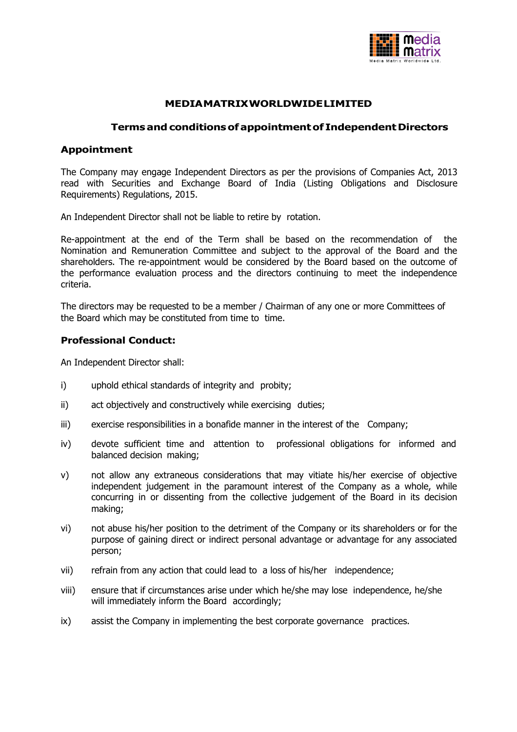

# **MEDIAMATRIXWORLDWIDELIMITED**

## **Terms and conditionsof appointmentof IndependentDirectors**

# **Appointment**

The Company may engage Independent Directors as per the provisions of Companies Act, 2013 read with Securities and Exchange Board of India (Listing Obligations and Disclosure Requirements) Regulations, 2015.

An Independent Director shall not be liable to retire by rotation.

Re-appointment at the end of the Term shall be based on the recommendation of the Nomination and Remuneration Committee and subject to the approval of the Board and the shareholders. The re-appointment would be considered by the Board based on the outcome of the performance evaluation process and the directors continuing to meet the independence criteria.

The directors may be requested to be a member / Chairman of any one or more Committees of the Board which may be constituted from time to time.

# **Professional Conduct:**

An Independent Director shall:

- i) uphold ethical standards of integrity and probity;
- ii) act objectively and constructively while exercising duties;
- iii) exercise responsibilities in a bonafide manner in the interest of the Company;
- iv) devote sufficient time and attention to professional obligations for informed and balanced decision making;
- v) not allow any extraneous considerations that may vitiate his/her exercise of objective independent judgement in the paramount interest of the Company as a whole, while concurring in or dissenting from the collective judgement of the Board in its decision making;
- vi) not abuse his/her position to the detriment of the Company or its shareholders or for the purpose of gaining direct or indirect personal advantage or advantage for any associated person;
- vii) refrain from any action that could lead to a loss of his/her independence;
- viii) ensure that if circumstances arise under which he/she may lose independence, he/she will immediately inform the Board accordingly;
- ix) assist the Company in implementing the best corporate governance practices.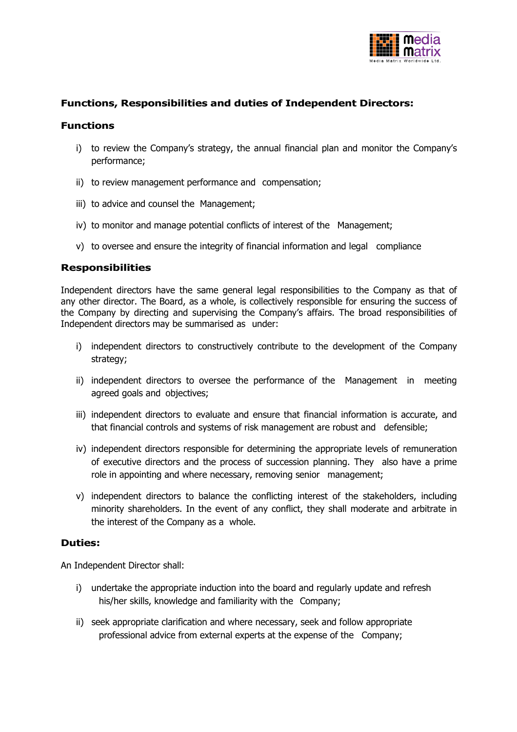

# **Functions, Responsibilities and duties of Independent Directors:**

## **Functions**

- i) to review the Company's strategy, the annual financial plan and monitor the Company's performance;
- ii) to review management performance and compensation;
- iii) to advice and counsel the Management;
- iv) to monitor and manage potential conflicts of interest of the Management;
- v) to oversee and ensure the integrity of financial information and legal compliance

# **Responsibilities**

Independent directors have the same general legal responsibilities to the Company as that of any other director. The Board, as a whole, is collectively responsible for ensuring the success of the Company by directing and supervising the Company's affairs. The broad responsibilities of Independent directors may be summarised as under:

- i) independent directors to constructively contribute to the development of the Company strategy;
- ii) independent directors to oversee the performance of the Management in meeting agreed goals and objectives;
- iii) independent directors to evaluate and ensure that financial information is accurate, and that financial controls and systems of risk management are robust and defensible;
- iv) independent directors responsible for determining the appropriate levels of remuneration of executive directors and the process of succession planning. They also have a prime role in appointing and where necessary, removing senior management;
- v) independent directors to balance the conflicting interest of the stakeholders, including minority shareholders. In the event of any conflict, they shall moderate and arbitrate in the interest of the Company as a whole.

#### **Duties:**

An Independent Director shall:

- i) undertake the appropriate induction into the board and regularly update and refresh his/her skills, knowledge and familiarity with the Company;
- ii) seek appropriate clarification and where necessary, seek and follow appropriate professional advice from external experts at the expense of the Company;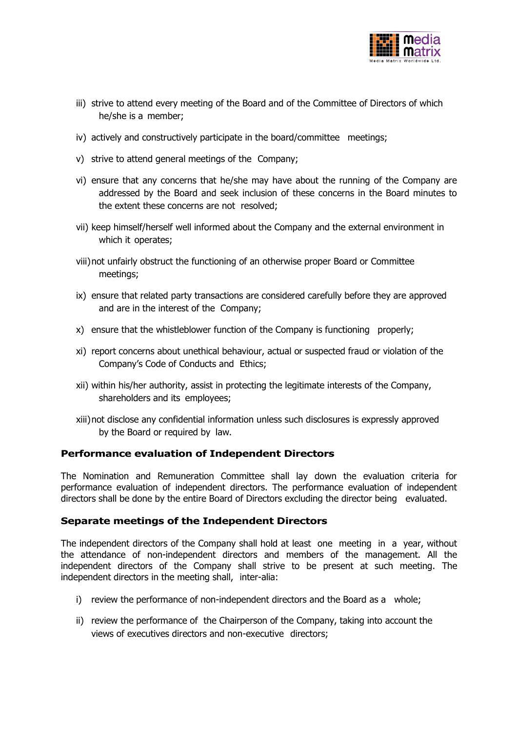

- iii) strive to attend every meeting of the Board and of the Committee of Directors of which he/she is a member;
- iv) actively and constructively participate in the board/committee meetings;
- v) strive to attend general meetings of the Company;
- vi) ensure that any concerns that he/she may have about the running of the Company are addressed by the Board and seek inclusion of these concerns in the Board minutes to the extent these concerns are not resolved;
- vii) keep himself/herself well informed about the Company and the external environment in which it operates;
- viii)not unfairly obstruct the functioning of an otherwise proper Board or Committee meetings;
- ix) ensure that related party transactions are considered carefully before they are approved and are in the interest of the Company;
- x) ensure that the whistleblower function of the Company is functioning properly;
- xi) report concerns about unethical behaviour, actual or suspected fraud or violation of the Company's Code of Conducts and Ethics;
- xii) within his/her authority, assist in protecting the legitimate interests of the Company, shareholders and its employees;
- xiii)not disclose any confidential information unless such disclosures is expressly approved by the Board or required by law.

#### **Performance evaluation of Independent Directors**

The Nomination and Remuneration Committee shall lay down the evaluation criteria for performance evaluation of independent directors. The performance evaluation of independent directors shall be done by the entire Board of Directors excluding the director being evaluated.

# **Separate meetings of the Independent Directors**

The independent directors of the Company shall hold at least one meeting in a year, without the attendance of non-independent directors and members of the management. All the independent directors of the Company shall strive to be present at such meeting. The independent directors in the meeting shall, inter-alia:

- i) review the performance of non-independent directors and the Board as a whole;
- ii) review the performance of the Chairperson of the Company, taking into account the views of executives directors and non-executive directors;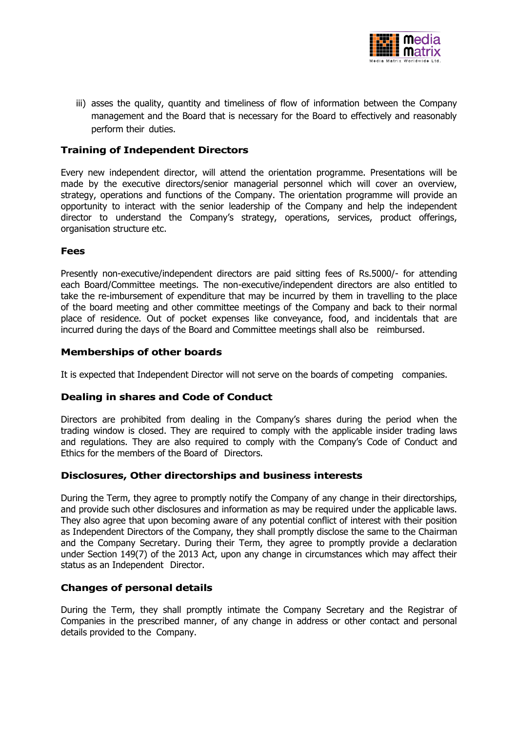

iii) asses the quality, quantity and timeliness of flow of information between the Company management and the Board that is necessary for the Board to effectively and reasonably perform their duties.

# **Training of Independent Directors**

Every new independent director, will attend the orientation programme. Presentations will be made by the executive directors/senior managerial personnel which will cover an overview, strategy, operations and functions of the Company. The orientation programme will provide an opportunity to interact with the senior leadership of the Company and help the independent director to understand the Company's strategy, operations, services, product offerings, organisation structure etc.

### **Fees**

Presently non-executive/independent directors are paid sitting fees of Rs.5000/- for attending each Board/Committee meetings. The non-executive/independent directors are also entitled to take the re-imbursement of expenditure that may be incurred by them in travelling to the place of the board meeting and other committee meetings of the Company and back to their normal place of residence. Out of pocket expenses like conveyance, food, and incidentals that are incurred during the days of the Board and Committee meetings shall also be reimbursed.

# **Memberships of other boards**

It is expected that Independent Director will not serve on the boards of competing companies.

# **Dealing in shares and Code of Conduct**

Directors are prohibited from dealing in the Company's shares during the period when the trading window is closed. They are required to comply with the applicable insider trading laws and regulations. They are also required to comply with the Company's Code of Conduct and Ethics for the members of the Board of Directors.

# **Disclosures, Other directorships and business interests**

During the Term, they agree to promptly notify the Company of any change in their directorships, and provide such other disclosures and information as may be required under the applicable laws. They also agree that upon becoming aware of any potential conflict of interest with their position as Independent Directors of the Company, they shall promptly disclose the same to the Chairman and the Company Secretary. During their Term, they agree to promptly provide a declaration under Section 149(7) of the 2013 Act, upon any change in circumstances which may affect their status as an Independent Director.

#### **Changes of personal details**

During the Term, they shall promptly intimate the Company Secretary and the Registrar of Companies in the prescribed manner, of any change in address or other contact and personal details provided to the Company.